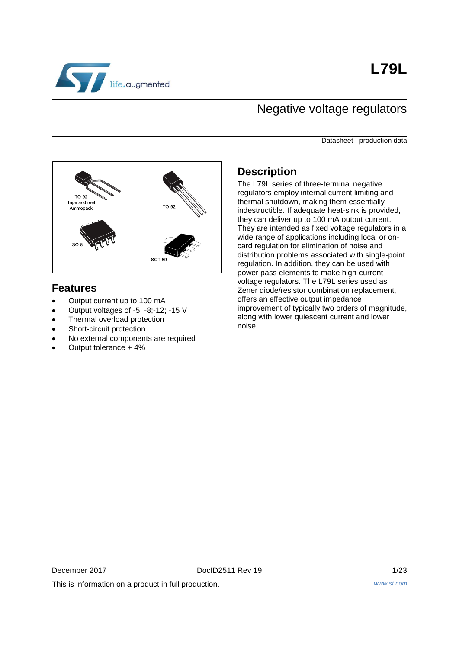

## Negative voltage regulators

Datasheet - production data



### **Features**

- Output current up to 100 mA
- Output voltages of -5; -8;-12; -15 V
- Thermal overload protection
- Short-circuit protection
- No external components are required
- Output tolerance + 4%

## **Description**

The L79L series of three-terminal negative regulators employ internal current limiting and thermal shutdown, making them essentially indestructible. If adequate heat-sink is provided, they can deliver up to 100 mA output current. They are intended as fixed voltage regulators in a wide range of applications including local or oncard regulation for elimination of noise and distribution problems associated with single-point regulation. In addition, they can be used with power pass elements to make high-current voltage regulators. The L79L series used as Zener diode/resistor combination replacement, offers an effective output impedance improvement of typically two orders of magnitude, along with lower quiescent current and lower noise.

This is information on a product in full production. *www.st.com*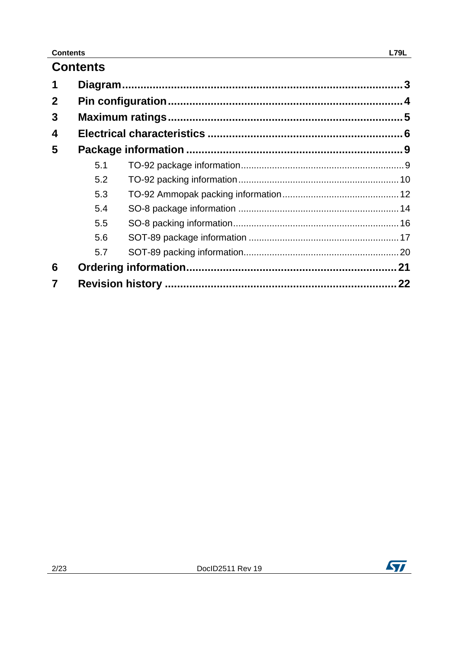## **Contents**

| $\mathbf 2$ |     |  |
|-------------|-----|--|
| 3           |     |  |
| 4           |     |  |
| 5           |     |  |
|             | 5.1 |  |
|             | 5.2 |  |
|             | 5.3 |  |
|             | 5.4 |  |
|             | 5.5 |  |
|             | 5.6 |  |
|             | 5.7 |  |
| 6           |     |  |
| 7           |     |  |

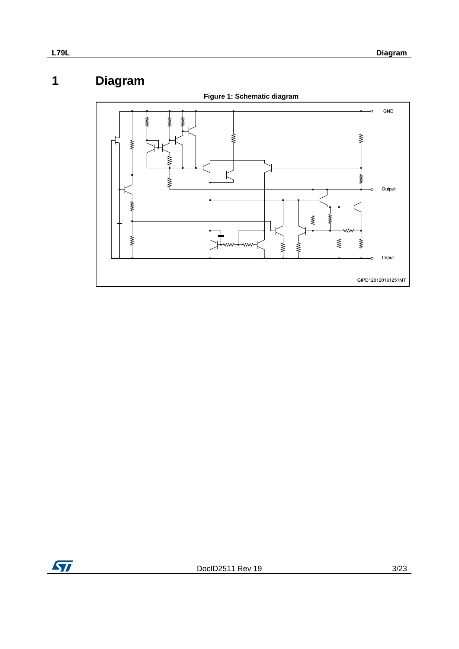# **1 Diagram**

<span id="page-2-0"></span>

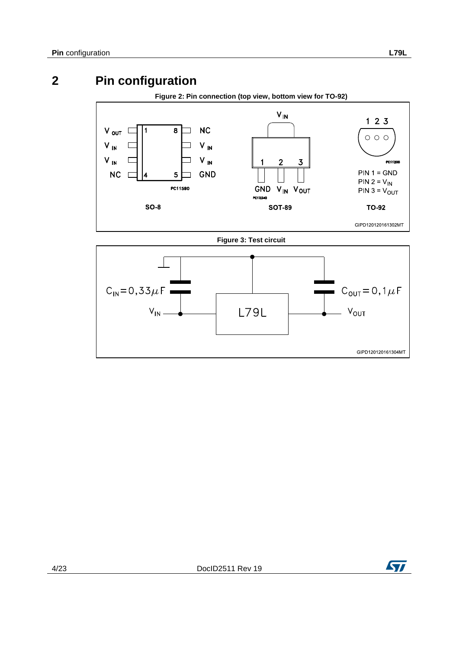# **2 Pin configuration**

#### **Figure 2: Pin connection (top view, bottom view for TO-92)**

<span id="page-3-0"></span>

**Figure 3: Test circuit**



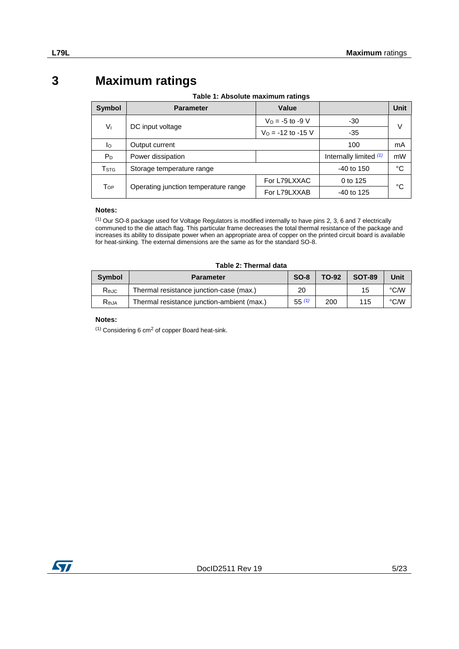## **3 Maximum ratings**

<span id="page-4-0"></span>

| <b>Symbol</b>             | <b>Parameter</b>                     | Value                |                        | <b>Unit</b> |
|---------------------------|--------------------------------------|----------------------|------------------------|-------------|
| Vı                        |                                      | $V_0 = -5$ to -9 V   | -30                    | V           |
|                           | DC input voltage                     | $V_0$ = -12 to -15 V | $-35$                  |             |
| Ιo                        | Output current                       |                      | 100                    | mA          |
| P <sub>D</sub>            | Power dissipation                    |                      | Internally limited (1) | mW          |
| $\mathsf{T}_{\text{STG}}$ | Storage temperature range            |                      | $-40$ to 150           | $^{\circ}C$ |
| T <sub>OP</sub>           |                                      | For L79LXXAC         | 0 to 125               | °C          |
|                           | Operating junction temperature range | For L79LXXAB         | $-40$ to 125           |             |

#### **Notes:**

<span id="page-4-1"></span><sup>(1)</sup> Our SO-8 package used for Voltage Regulators is modified internally to have pins 2, 3, 6 and 7 electrically communed to the die attach flag. This particular frame decreases the total thermal resistance of the package and increases its ability to dissipate power when an appropriate area of copper on the printed circuit board is available for heat-sinking. The external dimensions are the same as for the standard SO-8.

#### **Table 2: Thermal data**

| Symbol     | <b>Parameter</b>                           | $SO-8$     | <b>TO-92</b> | <b>SOT-89</b> | Unit |
|------------|--------------------------------------------|------------|--------------|---------------|------|
| $R_{thJC}$ | Thermal resistance junction-case (max.)    | 20         |              | 15            | °C/W |
| $R_{thJA}$ | Thermal resistance junction-ambient (max.) | $55^{(1)}$ | 200          | 115           | °C∕W |

#### **Notes:**

<span id="page-4-2"></span> $(1)$  Considering 6 cm<sup>2</sup> of copper Board heat-sink.

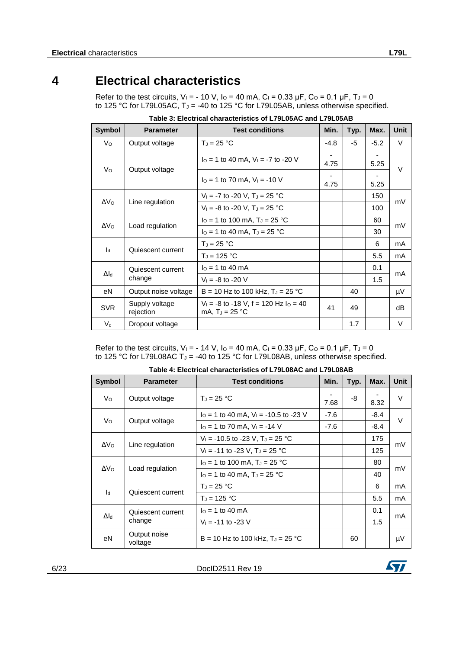## **4 Electrical characteristics**

<span id="page-5-0"></span>Refer to the test circuits,  $V_1 = -10 V$ ,  $I_0 = 40$  mA,  $C_1 = 0.33 \mu F$ ,  $C_0 = 0.1 \mu F$ ,  $T_0 = 0$ to 125 °C for L79L05AC,  $T_J = -40$  to 125 °C for L79L05AB, unless otherwise specified.

| Symbol          | <b>Parameter</b>            | <b>Test conditions</b>                                            | Min.                             | Typ. | Max.   | <b>Unit</b> |
|-----------------|-----------------------------|-------------------------------------------------------------------|----------------------------------|------|--------|-------------|
| Vo              | Output voltage              | $T_J = 25 °C$                                                     | $-4.8$                           | -5   | $-5.2$ | V           |
|                 |                             | $IO = 1$ to 40 mA, $VI = -7$ to -20 V                             | $\overline{\phantom{a}}$<br>4.75 |      | 5.25   | $\vee$      |
| Vo              | Output voltage              | $I_0 = 1$ to 70 mA, $V_1 = -10$ V                                 | 4.75                             |      | 5.25   |             |
|                 |                             | $V_1 = -7$ to $-20$ V, $T_1 = 25$ °C                              |                                  |      | 150    |             |
| ΔV <sub>0</sub> | Line regulation             | $V_1 = -8$ to $-20$ V, $T_J = 25$ °C                              |                                  |      | 100    | mV          |
|                 | Load regulation             | $I_0 = 1$ to 100 mA, $T_J = 25$ °C                                |                                  |      | 60     |             |
| ΔV <sub>o</sub> |                             | $I_0 = 1$ to 40 mA, $T_J = 25$ °C                                 |                                  |      | 30     | mV          |
| $\mathsf{Id}$   | Quiescent current           | $T_J = 25 °C$                                                     |                                  |      | 6      | mA          |
|                 |                             | $T_J = 125 °C$                                                    |                                  |      | 5.5    | mA          |
| $\Delta$ ld     | Quiescent current<br>change | $IO = 1$ to 40 mA                                                 |                                  |      | 0.1    |             |
|                 |                             | $V_1 = -8$ to $-20$ V                                             |                                  |      | 1.5    | mA          |
| еN              | Output noise voltage        | B = 10 Hz to 100 kHz, $T_J = 25 °C$                               |                                  | 40   |        | μV          |
| <b>SVR</b>      | Supply voltage<br>rejection | $V_1 = -8$ to $-18$ V, f = 120 Hz $I_0 = 40$<br>mA, $T_J = 25 °C$ | 41                               | 49   |        | dB          |
| $V_d$           | Dropout voltage             |                                                                   |                                  | 1.7  |        | V           |

**Table 3: Electrical characteristics of L79L05AC and L79L05AB**

Refer to the test circuits, V<sub>I</sub> = - 14 V, I<sub>O</sub> = 40 mA, C<sub>I</sub> = 0.33 µF, C<sub>O</sub> = 0.1 µF, T<sub>J</sub> = 0 to 125 °C for L79L08AC T<sup>J</sup> = -40 to 125 °C for L79L08AB, unless otherwise specified.

| <b>Symbol</b>   | <b>Parameter</b>        | <b>Test conditions</b>                         | Min.   | Typ. | Max.   | <b>Unit</b> |
|-----------------|-------------------------|------------------------------------------------|--------|------|--------|-------------|
| Vo              | Output voltage          | $T_{d} = 25 °C$                                | 7.68   | -8   | 8.32   | $\vee$      |
|                 |                         | $I_0 = 1$ to 40 mA, $V_1 = -10.5$ to -23 V     | $-7.6$ |      | -8.4   | $\vee$      |
| Vo              | Output voltage          | $IO = 1$ to 70 mA, $VI = -14$ V                | $-7.6$ |      | $-8.4$ |             |
|                 | Line regulation         | $V_1 = -10.5$ to -23 V, T <sub>J</sub> = 25 °C |        |      | 175    |             |
| ΔV <sub>o</sub> |                         | $V_1 = -11$ to -23 V, T <sub>J</sub> = 25 °C   |        |      | 125    | mV          |
|                 | Load regulation         | $I_0 = 1$ to 100 mA, $T_J = 25$ °C             |        |      | 80     | mV          |
| ΔV <sub>0</sub> |                         | $I_0 = 1$ to 40 mA, $T_J = 25$ °C              |        |      | 40     |             |
|                 |                         | $T_J = 25 °C$                                  |        |      | 6      | mA          |
| $\mathsf{Id}$   | Quiescent current       | $T_{d}$ = 125 °C                               |        |      | 5.5    | mA          |
|                 | Quiescent current       | $I_0 = 1$ to 40 mA                             |        |      | 0.1    |             |
| $\Delta I_d$    | change                  | $V_1 = -11$ to $-23$ V                         |        |      | 1.5    | mA          |
| eN              | Output noise<br>voltage | $B = 10$ Hz to 100 kHz, $T_J = 25$ °C          |        | 60   |        | μV          |

**Table 4: Electrical characteristics of L79L08AC and L79L08AB**

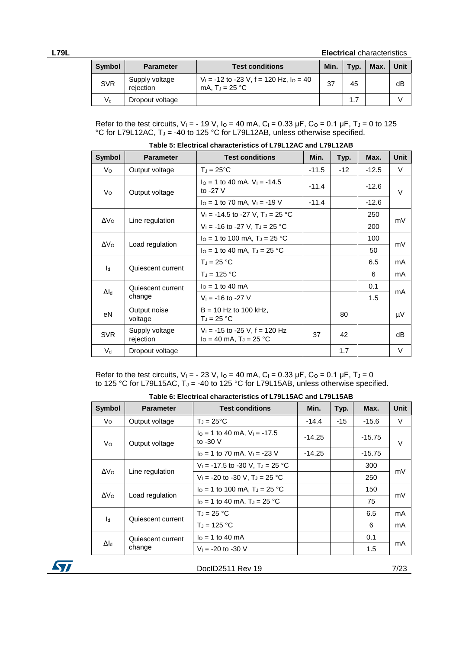**L79L Electrical** characteristics

| Symbol     | <b>Parameter</b>            | <b>Test conditions</b>                                           | Min. | Typ. | Max. | Unit |
|------------|-----------------------------|------------------------------------------------------------------|------|------|------|------|
| <b>SVR</b> | Supply voltage<br>rejection | $V_1 = -12$ to $-23$ V, f = 120 Hz, lo = 40<br>mA. $T_J = 25 °C$ | 37   | 45   |      | dB   |
| V۹         | Dropout voltage             |                                                                  |      | 1.7  |      |      |

Refer to the test circuits,  $V_1 = -19$  V,  $I_0 = 40$  mA,  $C_1 = 0.33$   $\mu$ F,  $C_0 = 0.1$   $\mu$ F,  $T_0 = 0$  to 125 °C for L79L12AC,  $T_J = -40$  to 125 °C for L79L12AB, unless otherwise specified.

| <b>Symbol</b>      | <b>Parameter</b>            | <b>Test conditions</b>                                         | Min.    | Typ.  | Max.    | <b>Unit</b> |
|--------------------|-----------------------------|----------------------------------------------------------------|---------|-------|---------|-------------|
| Vo                 | Output voltage              | $T_J = 25^{\circ}C$                                            | $-11.5$ | $-12$ | $-12.5$ | V           |
| Vo                 | Output voltage              | $IO = 1$ to 40 mA, $VI = -14.5$<br>to $-27$ V                  | $-11.4$ |       | $-12.6$ | $\vee$      |
|                    |                             | $I_0 = 1$ to 70 mA, $V_1 = -19$ V                              | $-11.4$ |       | $-12.6$ |             |
|                    |                             | $V_1 = -14.5$ to -27 V, T <sub>J</sub> = 25 °C                 |         |       | 250     | mV          |
| $\Delta V_O$       | Line regulation             | $V_1 = -16$ to -27 V, T <sub>J</sub> = 25 °C                   |         |       | 200     |             |
|                    | Load regulation             | $IO = 1$ to 100 mA, T <sub>J</sub> = 25 °C                     |         |       | 100     | mV          |
| $\Delta V_{\rm O}$ |                             | $I_0 = 1$ to 40 mA, $T_J = 25$ °C                              |         |       | 50      |             |
|                    |                             | $T_J = 25 °C$                                                  |         |       | 6.5     | mA          |
| $\mathsf{I}_{d}$   | Quiescent current           | $T_J = 125 °C$                                                 |         |       | 6       | mA          |
|                    | Quiescent current           | $I0 = 1$ to 40 mA                                              |         |       | 0.1     |             |
| $\Delta I_d$       | change                      | $V_1 = -16$ to $-27$ V                                         |         |       | 1.5     | mA          |
| eN                 | Output noise<br>voltage     | $B = 10$ Hz to 100 kHz,<br>$T_J = 25 °C$                       |         | 80    |         | μV          |
| <b>SVR</b>         | Supply voltage<br>rejection | $V_1$ = -15 to -25 V, f = 120 Hz<br>$IO = 40$ mA, $TJ = 25$ °C | 37      | 42    |         | dB          |
| $V_d$              | Dropout voltage             |                                                                |         | 1.7   |         | V           |

**Table 5: Electrical characteristics of L79L12AC and L79L12AB**

Refer to the test circuits,  $V_1 = -23 V$ ,  $I_0 = 40$  mA,  $C_1 = 0.33 \mu F$ ,  $C_0 = 0.1 \mu F$ ,  $T_0 = 0$ to 125 °C for L79L15AC,  $T_J = -40$  to 125 °C for L79L15AB, unless otherwise specified.

| Table 6: Electrical characteristics of L79L15AC and L79L15AB |  |  |  |
|--------------------------------------------------------------|--|--|--|
|--------------------------------------------------------------|--|--|--|

| <b>Symbol</b>      | <b>Parameter</b>  | <b>Test conditions</b>                         | Min.     | Typ.  | Max.     | <b>Unit</b> |  |
|--------------------|-------------------|------------------------------------------------|----------|-------|----------|-------------|--|
| Vo                 | Output voltage    | $T_J = 25^{\circ}C$                            | $-14.4$  | $-15$ | $-15.6$  | V           |  |
| Vo                 | Output voltage    | $IO = 1$ to 40 mA, $VI = -17.5$<br>to $-30$ V  | $-14.25$ |       | $-15.75$ | $\vee$      |  |
|                    |                   | $I_0 = 1$ to 70 mA, $V_1 = -23$ V              | $-14.25$ |       | $-15.75$ |             |  |
| ΔV <sub>Ω</sub>    | Line regulation   | $V_1 = -17.5$ to -30 V, T <sub>J</sub> = 25 °C |          |       | 300      |             |  |
|                    |                   | $V_1 = -20$ to $-30$ V, $T_J = 25$ °C          |          |       | 250      | mV          |  |
|                    |                   | $IO = 1$ to 100 mA, $TJ = 25$ °C               |          |       | 150      |             |  |
| ΔVο                | Load regulation   | $I_0 = 1$ to 40 mA, $T_J = 25$ °C              |          |       | 75       | mV          |  |
|                    |                   | $T_{d} = 25 °C$                                |          |       | 6.5      | mA          |  |
| ۱ч                 | Quiescent current | $T_{d}$ = 125 °C                               |          |       | 6        | mA          |  |
|                    | Quiescent current | $I0 = 1$ to 40 mA                              |          |       | 0.1      |             |  |
| $\Delta I_{\rm d}$ | change            | $V_1 = -20$ to $-30$ V                         |          |       | 1.5      | mA          |  |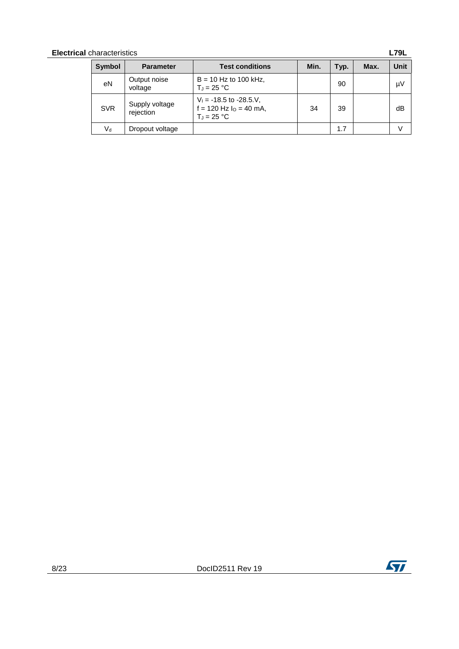| <b>Electrical</b> characteristics<br><b>L79L</b> |                             |                                                                              |      |      |      |      |
|--------------------------------------------------|-----------------------------|------------------------------------------------------------------------------|------|------|------|------|
| <b>Symbol</b>                                    | <b>Parameter</b>            | <b>Test conditions</b>                                                       | Min. | Typ. | Max. | Unit |
| eN                                               | Output noise<br>voltage     | $B = 10$ Hz to 100 kHz,<br>$T_J = 25 °C$                                     |      | 90   |      | μV   |
| <b>SVR</b>                                       | Supply voltage<br>rejection | $V_1 = -18.5$ to $-28.5$ . V,<br>$f = 120$ Hz $IO = 40$ mA,<br>$T_J = 25 °C$ | 34   | 39   |      | dB   |
| $V_{d}$                                          | Dropout voltage             |                                                                              |      | 1.7  |      |      |

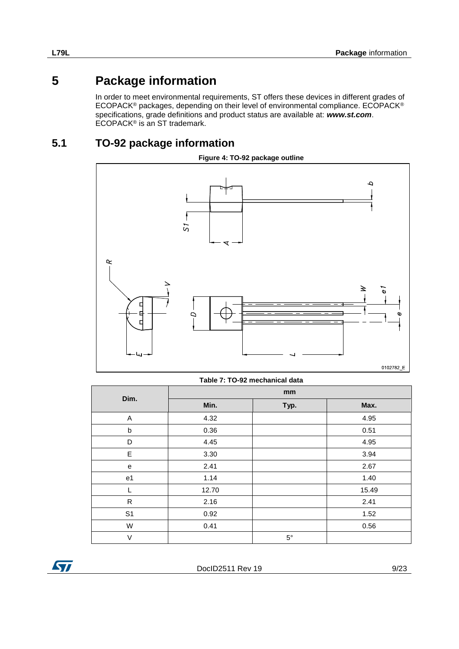## **5 Package information**

<span id="page-8-0"></span>In order to meet environmental requirements, ST offers these devices in different grades of ECOPACK® packages, depending on their level of environmental compliance. ECOPACK® specifications, grade definitions and product status are available at: *www.st.com*. ECOPACK® is an ST trademark.

## **5.1 TO-92 package information**

<span id="page-8-1"></span>

|  | Table 7: TO-92 mechanical data |  |
|--|--------------------------------|--|
|  |                                |  |

| Dim.           | mm    |             |       |  |
|----------------|-------|-------------|-------|--|
|                | Min.  | Typ.        | Max.  |  |
| A              | 4.32  |             | 4.95  |  |
| b              | 0.36  |             | 0.51  |  |
| D              | 4.45  |             | 4.95  |  |
| E              | 3.30  |             | 3.94  |  |
| e              | 2.41  |             | 2.67  |  |
| e1             | 1.14  |             | 1.40  |  |
|                | 12.70 |             | 15.49 |  |
| ${\sf R}$      | 2.16  |             | 2.41  |  |
| S <sub>1</sub> | 0.92  |             | 1.52  |  |
| W              | 0.41  |             | 0.56  |  |
| V              |       | $5^{\circ}$ |       |  |

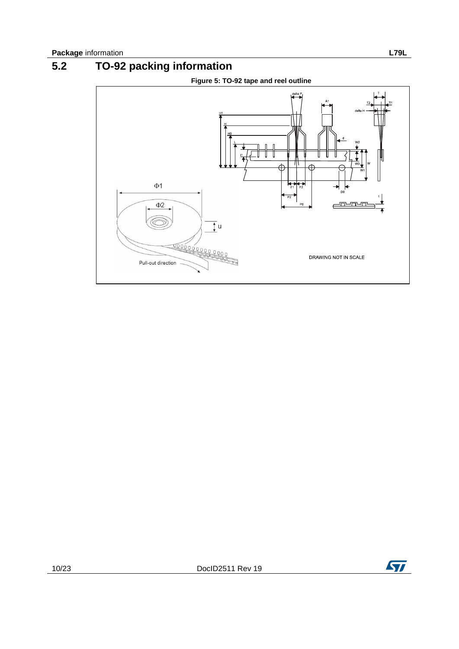<span id="page-9-0"></span>

# **5.2 TO-92 packing information**

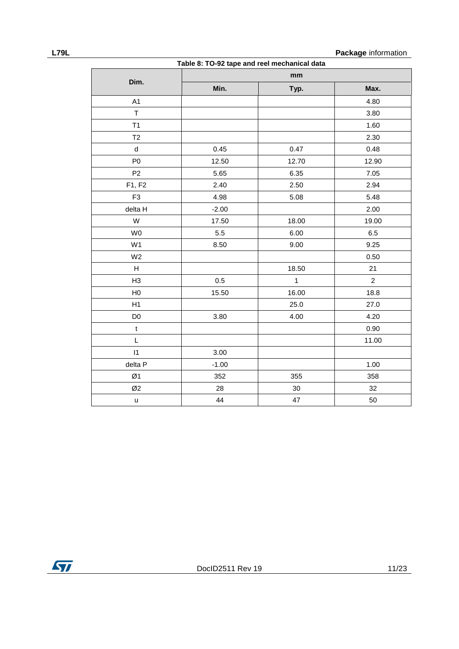**L79L Package** information

| Table 8: TO-92 tape and reel mechanical data |         |              |                |  |
|----------------------------------------------|---------|--------------|----------------|--|
| Dim.                                         |         | mm           |                |  |
|                                              | Min.    | Typ.         | Max.           |  |
| A1                                           |         |              | 4.80           |  |
| $\top$                                       |         |              | 3.80           |  |
| T1                                           |         |              | 1.60           |  |
| T <sub>2</sub>                               |         |              | 2.30           |  |
| ${\sf d}$                                    | 0.45    | 0.47         | 0.48           |  |
| P <sub>0</sub>                               | 12.50   | 12.70        | 12.90          |  |
| P <sub>2</sub>                               | 5.65    | 6.35         | 7.05           |  |
| F1, F2                                       | 2.40    | 2.50         | 2.94           |  |
| F <sub>3</sub>                               | 4.98    | 5.08         | 5.48           |  |
| delta H                                      | $-2.00$ |              | 2.00           |  |
| W                                            | 17.50   | 18.00        | 19.00          |  |
| W0                                           | 5.5     | 6.00         | 6.5            |  |
| W <sub>1</sub>                               | 8.50    | 9.00         | 9.25           |  |
| W <sub>2</sub>                               |         |              | 0.50           |  |
| $\boldsymbol{\mathsf{H}}$                    |         | 18.50        | 21             |  |
| H <sub>3</sub>                               | 0.5     | $\mathbf{1}$ | $\overline{2}$ |  |
| H <sub>0</sub>                               | 15.50   | 16.00        | 18.8           |  |
| H1                                           |         | 25.0         | 27.0           |  |
| D <sub>0</sub>                               | 3.80    | 4.00         | 4.20           |  |
| $\mathbf t$                                  |         |              | 0.90           |  |
| L                                            |         |              | 11.00          |  |
| $\vert$ 1                                    | 3.00    |              |                |  |
| delta P                                      | $-1.00$ |              | 1.00           |  |
| Ø1                                           | 352     | 355          | 358            |  |
| Ø2                                           | 28      | 30           | 32             |  |
| $\sf u$                                      | 44      | 47           | 50             |  |

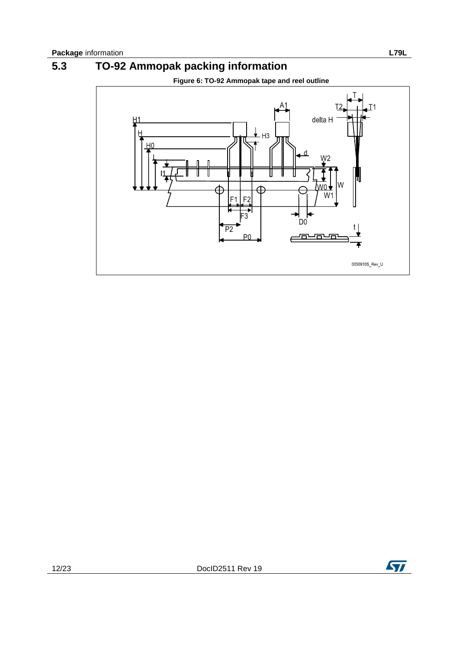<span id="page-11-0"></span>

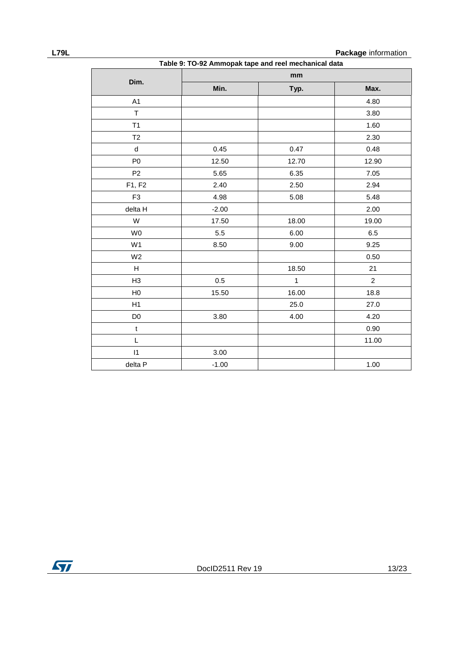**L79L Package** information

|                |                                                      |              | <b>Package</b> information |  |
|----------------|------------------------------------------------------|--------------|----------------------------|--|
|                | Table 9: TO-92 Ammopak tape and reel mechanical data |              |                            |  |
|                | $\mathop{\mathsf{mm}}\nolimits$                      |              |                            |  |
| Dim.           | Min.                                                 | Typ.         | Max.                       |  |
| A1             |                                                      |              | 4.80                       |  |
| $\mathsf T$    |                                                      |              | 3.80                       |  |
| T1             |                                                      |              | 1.60                       |  |
| T <sub>2</sub> |                                                      |              | 2.30                       |  |
| $\sf d$        | 0.45                                                 | 0.47         | 0.48                       |  |
| P <sub>0</sub> | 12.50                                                | 12.70        | 12.90                      |  |
| P <sub>2</sub> | 5.65                                                 | 6.35         | 7.05                       |  |
| F1, F2         | 2.40                                                 | 2.50         | 2.94                       |  |
| F <sub>3</sub> | 4.98                                                 | 5.08         | 5.48                       |  |
| delta H        | $-2.00$                                              |              | 2.00                       |  |
| W              | 17.50                                                | 18.00        | 19.00                      |  |
| W <sub>0</sub> | 5.5                                                  | 6.00         | 6.5                        |  |
| W1             | 8.50                                                 | 9.00         | 9.25                       |  |
| W <sub>2</sub> |                                                      |              | 0.50                       |  |
| H              |                                                      | 18.50        | 21                         |  |
| H3             | 0.5                                                  | $\mathbf{1}$ | $\overline{2}$             |  |
| H <sub>0</sub> | 15.50                                                | 16.00        | 18.8                       |  |
| H1             |                                                      | 25.0         | 27.0                       |  |
| D <sub>0</sub> | 3.80                                                 | 4.00         | 4.20                       |  |
| $\mathfrak t$  |                                                      |              | 0.90                       |  |
| L              |                                                      |              | 11.00                      |  |
| $\vert$ 1      | 3.00                                                 |              |                            |  |
| delta P        | $-1.00$                                              |              | 1.00                       |  |

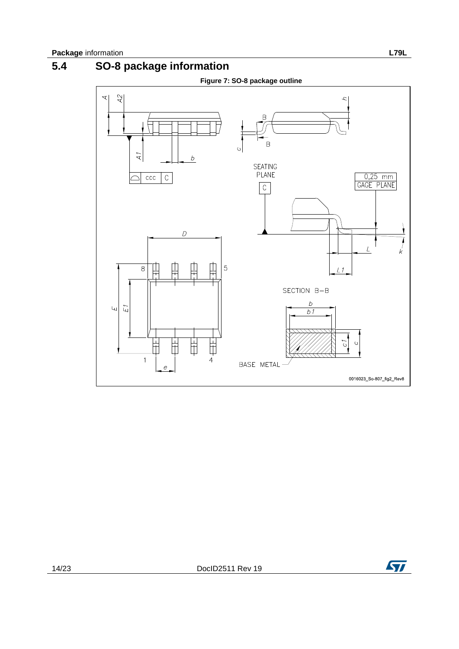<span id="page-13-0"></span>

# **5.4 SO-8 package information**



 $\sqrt{1}$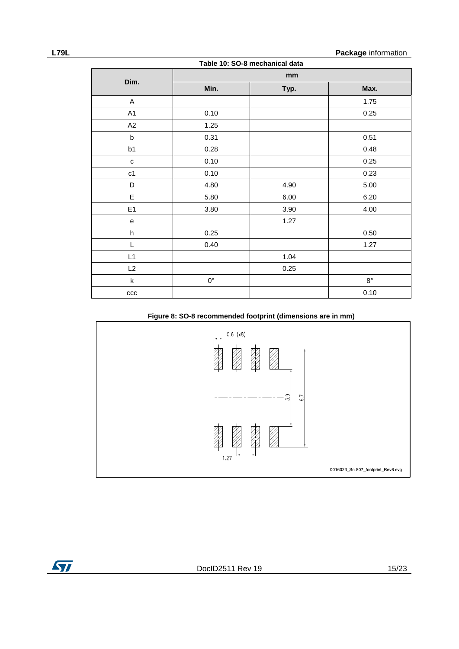| Table 10: SO-8 mechanical data |             |      |             |
|--------------------------------|-------------|------|-------------|
|                                |             | mm   |             |
| Dim.                           | Min.        | Typ. | Max.        |
| A                              |             |      | 1.75        |
| A1                             | 0.10        |      | 0.25        |
| A2                             | 1.25        |      |             |
| $\mathsf b$                    | 0.31        |      | 0.51        |
| b1                             | 0.28        |      | 0.48        |
| $\mathbf{C}$                   | 0.10        |      | 0.25        |
| c1                             | 0.10        |      | 0.23        |
| D                              | 4.80        | 4.90 | 5.00        |
| $\mathsf E$                    | 5.80        | 6.00 | 6.20        |
| E <sub>1</sub>                 | 3.80        | 3.90 | 4.00        |
| e                              |             | 1.27 |             |
| h                              | 0.25        |      | 0.50        |
| L                              | 0.40        |      | 1.27        |
| L1                             |             | 1.04 |             |
| L2                             |             | 0.25 |             |
| k                              | $0^{\circ}$ |      | $8^{\circ}$ |
| ccc                            |             |      | 0.10        |

#### **Figure 8: SO-8 recommended footprint (dimensions are in mm)**



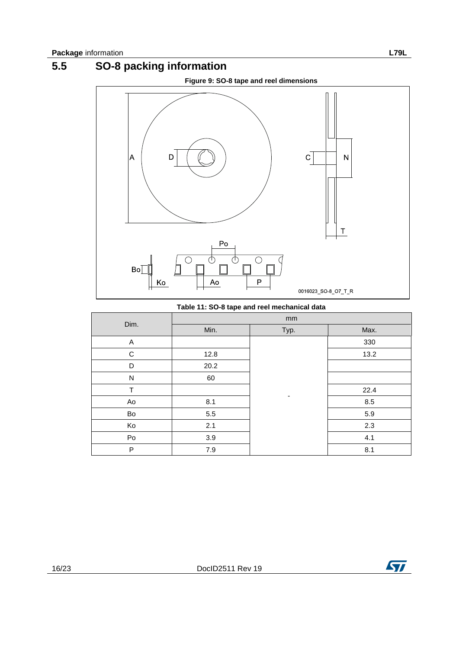<span id="page-15-0"></span>

**Table 11: SO-8 tape and reel mechanical data**

|               | mm      |                          |      |
|---------------|---------|--------------------------|------|
| Dim.          | Min.    | Typ.                     | Max. |
| A             |         |                          | 330  |
| ${\bf C}$     | 12.8    |                          | 13.2 |
| D             | 20.2    |                          |      |
| N             | 60      |                          |      |
| $\top$        |         |                          | 22.4 |
| Ao            | 8.1     | $\overline{\phantom{a}}$ | 8.5  |
| Bo            | $5.5\,$ |                          | 5.9  |
| Ko            | 2.1     |                          | 2.3  |
| $\mathsf{Po}$ | $3.9\,$ |                          | 4.1  |
| P             | 7.9     |                          | 8.1  |

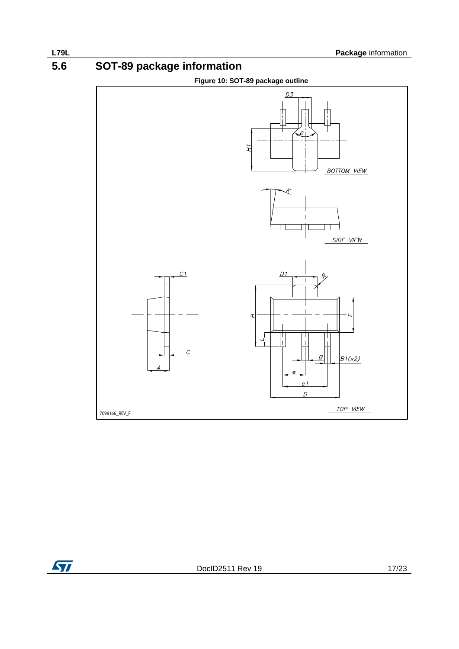**5.6 SOT-89 package information**

<span id="page-16-0"></span>

 $\sqrt{2}$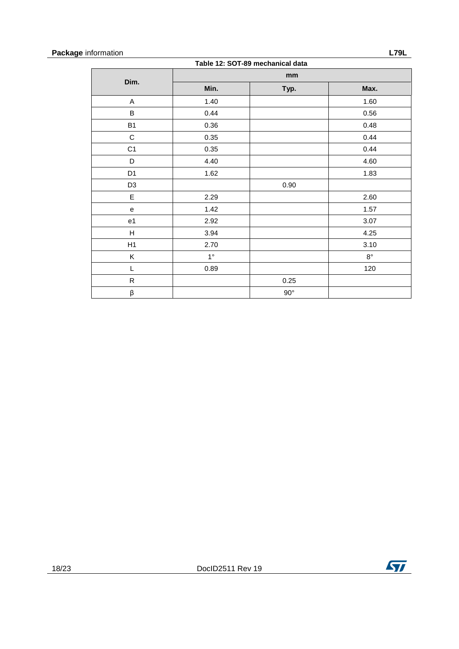| <b>Package</b> information |                                  | 79L |
|----------------------------|----------------------------------|-----|
|                            | Table 12: COT-80 mochanical data |     |

| Table 12: SOT-89 mechanical data |             |              |             |  |
|----------------------------------|-------------|--------------|-------------|--|
| Dim.                             |             | mm           |             |  |
|                                  | Min.        | Typ.         | Max.        |  |
| Α                                | 1.40        |              | 1.60        |  |
| B                                | 0.44        |              | 0.56        |  |
| <b>B1</b>                        | 0.36        |              | 0.48        |  |
| $\mathbf C$                      | 0.35        |              | 0.44        |  |
| C <sub>1</sub>                   | 0.35        |              | 0.44        |  |
| D                                | 4.40        |              | 4.60        |  |
| D <sub>1</sub>                   | 1.62        |              | 1.83        |  |
| D <sub>3</sub>                   |             | 0.90         |             |  |
| E                                | 2.29        |              | 2.60        |  |
| e                                | 1.42        |              | 1.57        |  |
| e1                               | 2.92        |              | 3.07        |  |
| H                                | 3.94        |              | 4.25        |  |
| H1                               | 2.70        |              | 3.10        |  |
| Κ                                | $1^{\circ}$ |              | $8^{\circ}$ |  |
| L                                | 0.89        |              | 120         |  |
| $\mathsf R$                      |             | 0.25         |             |  |
| β                                |             | $90^{\circ}$ |             |  |

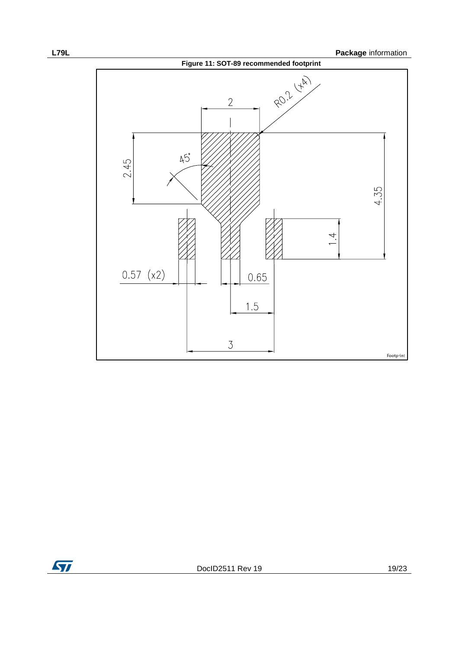

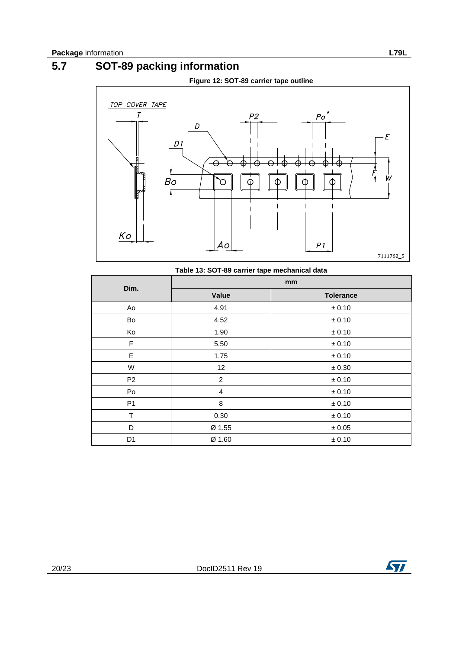# **5.7 SOT-89 packing information**

<span id="page-19-0"></span>

#### **Table 13: SOT-89 carrier tape mechanical data**

|                | mm             |                  |  |
|----------------|----------------|------------------|--|
| Dim.           | <b>Value</b>   | <b>Tolerance</b> |  |
| Ao             | 4.91           | $\pm$ 0.10       |  |
| Bo             | 4.52           | $\pm$ 0.10       |  |
| Ko             | 1.90           | ± 0.10           |  |
| F              | 5.50           | $\pm$ 0.10       |  |
| E              | 1.75           | $\pm$ 0.10       |  |
| W              | 12             | $\pm 0.30$       |  |
| P <sub>2</sub> | $\overline{c}$ | $\pm$ 0.10       |  |
| Po             | 4              | $\pm$ 0.10       |  |
| P <sub>1</sub> | 8              | $\pm$ 0.10       |  |
| T              | 0.30           | $\pm$ 0.10       |  |
| D              | Ø 1.55         | $\pm$ 0.05       |  |
| D <sub>1</sub> | Ø 1.60         | $\pm$ 0.10       |  |

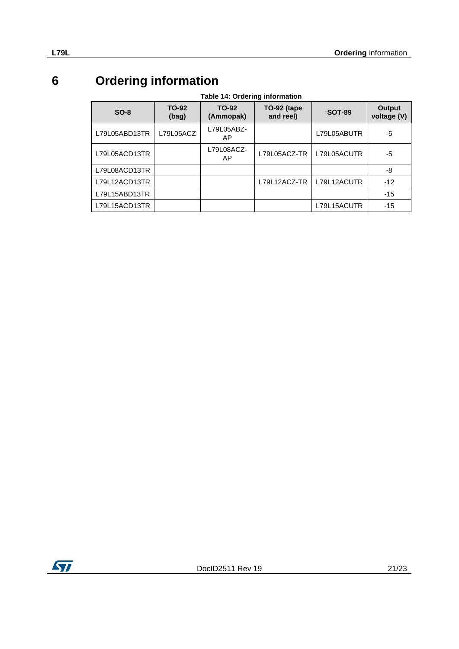# **6 Ordering information**

| Table 14: Ordering information |  |
|--------------------------------|--|
|--------------------------------|--|

<span id="page-20-0"></span>

| $SO-8$        | TO-92<br>(bag) | TO-92<br>(Ammopak) | TO-92 (tape<br>and reel) | <b>SOT-89</b> | Output<br>voltage (V) |
|---------------|----------------|--------------------|--------------------------|---------------|-----------------------|
| L79L05ABD13TR | L79L05ACZ      | L79L05ABZ-<br>AP   |                          | L79L05ABUTR   | -5                    |
| L79L05ACD13TR |                | L79L08ACZ-<br>AP   | L79L05ACZ-TR             | L79L05ACUTR   | -5                    |
| L79L08ACD13TR |                |                    |                          |               | -8                    |
| L79L12ACD13TR |                |                    | L79L12ACZ-TR             | L79L12ACUTR   | $-12$                 |
| L79L15ABD13TR |                |                    |                          |               | $-15$                 |
| L79L15ACD13TR |                |                    |                          | L79L15ACUTR   | $-15$                 |

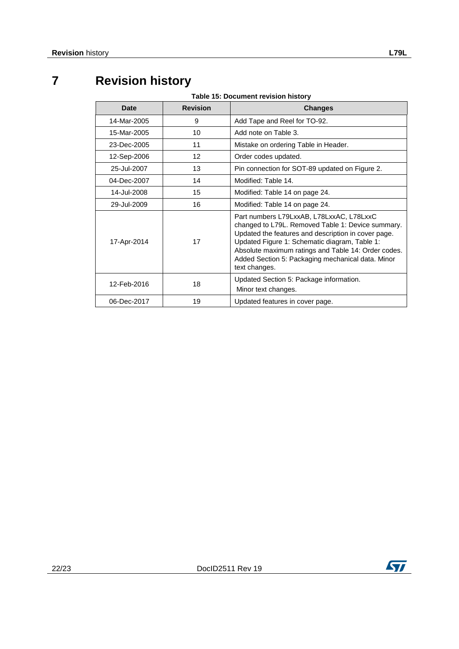# **7 Revision history**

<span id="page-21-0"></span>

| Date        | <b>Revision</b> | <b>Changes</b>                                                                                                                                                                                                                                                                                                                     |
|-------------|-----------------|------------------------------------------------------------------------------------------------------------------------------------------------------------------------------------------------------------------------------------------------------------------------------------------------------------------------------------|
| 14-Mar-2005 | 9               | Add Tape and Reel for TO-92.                                                                                                                                                                                                                                                                                                       |
| 15-Mar-2005 | 10              | Add note on Table 3.                                                                                                                                                                                                                                                                                                               |
| 23-Dec-2005 | 11              | Mistake on ordering Table in Header.                                                                                                                                                                                                                                                                                               |
| 12-Sep-2006 | 12              | Order codes updated.                                                                                                                                                                                                                                                                                                               |
| 25-Jul-2007 | 13              | Pin connection for SOT-89 updated on Figure 2.                                                                                                                                                                                                                                                                                     |
| 04-Dec-2007 | 14              | Modified: Table 14.                                                                                                                                                                                                                                                                                                                |
| 14-Jul-2008 | 15              | Modified: Table 14 on page 24.                                                                                                                                                                                                                                                                                                     |
| 29-Jul-2009 | 16              | Modified: Table 14 on page 24.                                                                                                                                                                                                                                                                                                     |
| 17-Apr-2014 | 17              | Part numbers L79LxxAB, L78LxxAC, L78LxxC<br>changed to L79L. Removed Table 1: Device summary.<br>Updated the features and description in cover page.<br>Updated Figure 1: Schematic diagram, Table 1:<br>Absolute maximum ratings and Table 14: Order codes.<br>Added Section 5: Packaging mechanical data. Minor<br>text changes. |
| 12-Feb-2016 | 18              | Updated Section 5: Package information.<br>Minor text changes.                                                                                                                                                                                                                                                                     |
| 06-Dec-2017 | 19              | Updated features in cover page.                                                                                                                                                                                                                                                                                                    |

**Table 15: Document revision history**